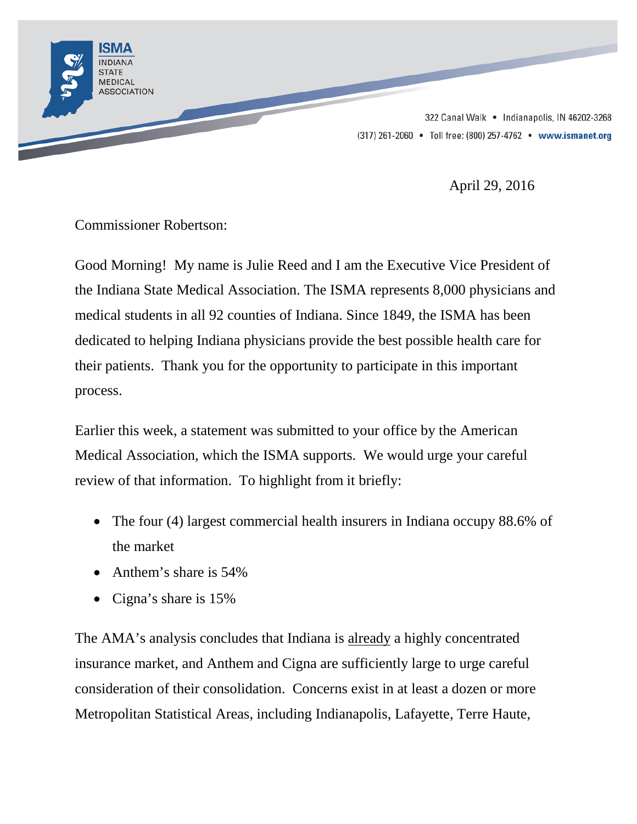

April 29, 2016

Commissioner Robertson:

Good Morning! My name is Julie Reed and I am the Executive Vice President of the Indiana State Medical Association. The ISMA represents 8,000 physicians and medical students in all 92 counties of Indiana. Since 1849, the ISMA has been dedicated to helping Indiana physicians provide the best possible health care for their patients. Thank you for the opportunity to participate in this important process.

Earlier this week, a statement was submitted to your office by the American Medical Association, which the ISMA supports. We would urge your careful review of that information. To highlight from it briefly:

- The four (4) largest commercial health insurers in Indiana occupy 88.6% of the market
- Anthem's share is 54%
- Cigna's share is 15%

The AMA's analysis concludes that Indiana is already a highly concentrated insurance market, and Anthem and Cigna are sufficiently large to urge careful consideration of their consolidation. Concerns exist in at least a dozen or more Metropolitan Statistical Areas, including Indianapolis, Lafayette, Terre Haute,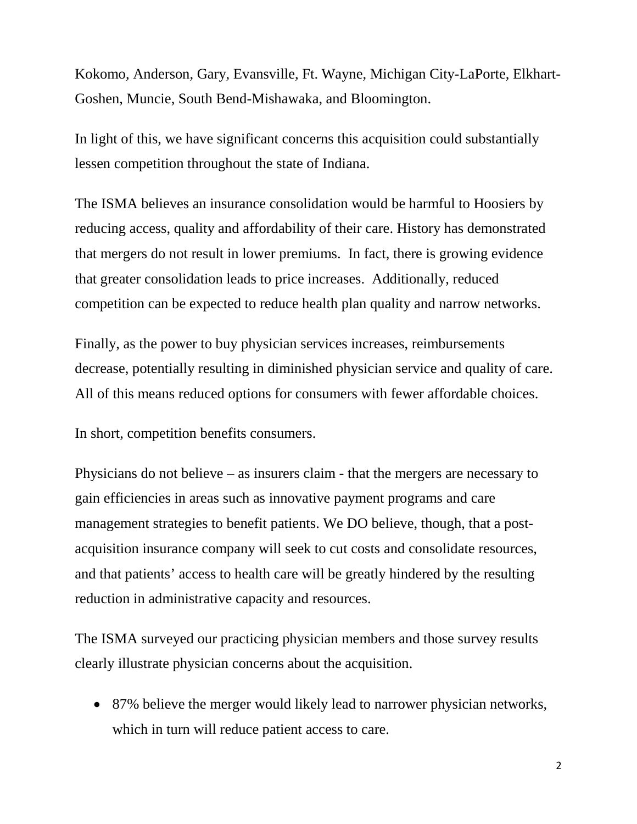Kokomo, Anderson, Gary, Evansville, Ft. Wayne, Michigan City-LaPorte, Elkhart-Goshen, Muncie, South Bend-Mishawaka, and Bloomington.

In light of this, we have significant concerns this acquisition could substantially lessen competition throughout the state of Indiana.

The ISMA believes an insurance consolidation would be harmful to Hoosiers by reducing access, quality and affordability of their care. History has demonstrated that mergers do not result in lower premiums. In fact, there is growing evidence that greater consolidation leads to price increases. Additionally, reduced competition can be expected to reduce health plan quality and narrow networks.

Finally, as the power to buy physician services increases, reimbursements decrease, potentially resulting in diminished physician service and quality of care. All of this means reduced options for consumers with fewer affordable choices.

In short, competition benefits consumers.

Physicians do not believe – as insurers claim - that the mergers are necessary to gain efficiencies in areas such as innovative payment programs and care management strategies to benefit patients. We DO believe, though, that a postacquisition insurance company will seek to cut costs and consolidate resources, and that patients' access to health care will be greatly hindered by the resulting reduction in administrative capacity and resources.

The ISMA surveyed our practicing physician members and those survey results clearly illustrate physician concerns about the acquisition.

• 87% believe the merger would likely lead to narrower physician networks, which in turn will reduce patient access to care.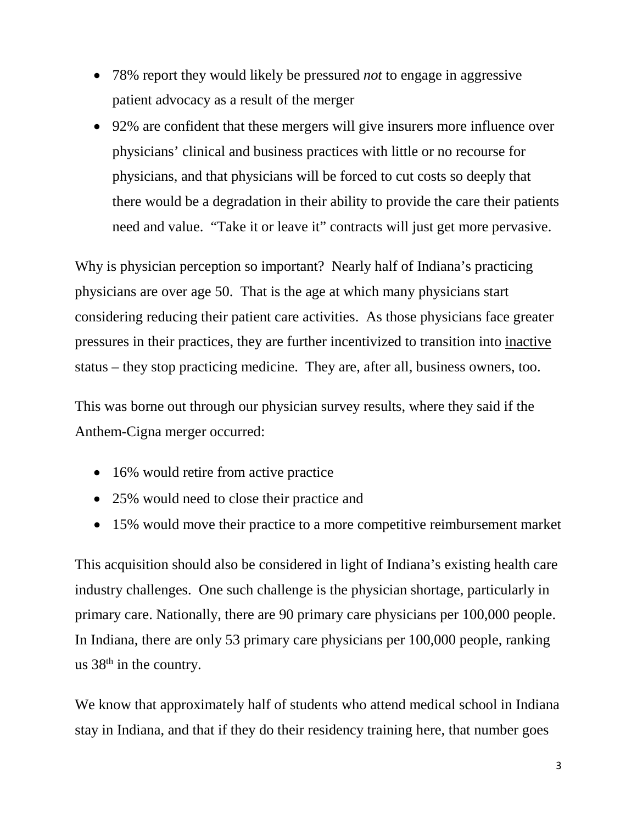- 78% report they would likely be pressured *not* to engage in aggressive patient advocacy as a result of the merger
- 92% are confident that these mergers will give insurers more influence over physicians' clinical and business practices with little or no recourse for physicians, and that physicians will be forced to cut costs so deeply that there would be a degradation in their ability to provide the care their patients need and value. "Take it or leave it" contracts will just get more pervasive.

Why is physician perception so important? Nearly half of Indiana's practicing physicians are over age 50. That is the age at which many physicians start considering reducing their patient care activities. As those physicians face greater pressures in their practices, they are further incentivized to transition into inactive status – they stop practicing medicine. They are, after all, business owners, too.

This was borne out through our physician survey results, where they said if the Anthem-Cigna merger occurred:

- 16% would retire from active practice
- 25% would need to close their practice and
- 15% would move their practice to a more competitive reimbursement market

This acquisition should also be considered in light of Indiana's existing health care industry challenges. One such challenge is the physician shortage, particularly in primary care. Nationally, there are 90 primary care physicians per 100,000 people. In Indiana, there are only 53 primary care physicians per 100,000 people, ranking us  $38<sup>th</sup>$  in the country.

We know that approximately half of students who attend medical school in Indiana stay in Indiana, and that if they do their residency training here, that number goes